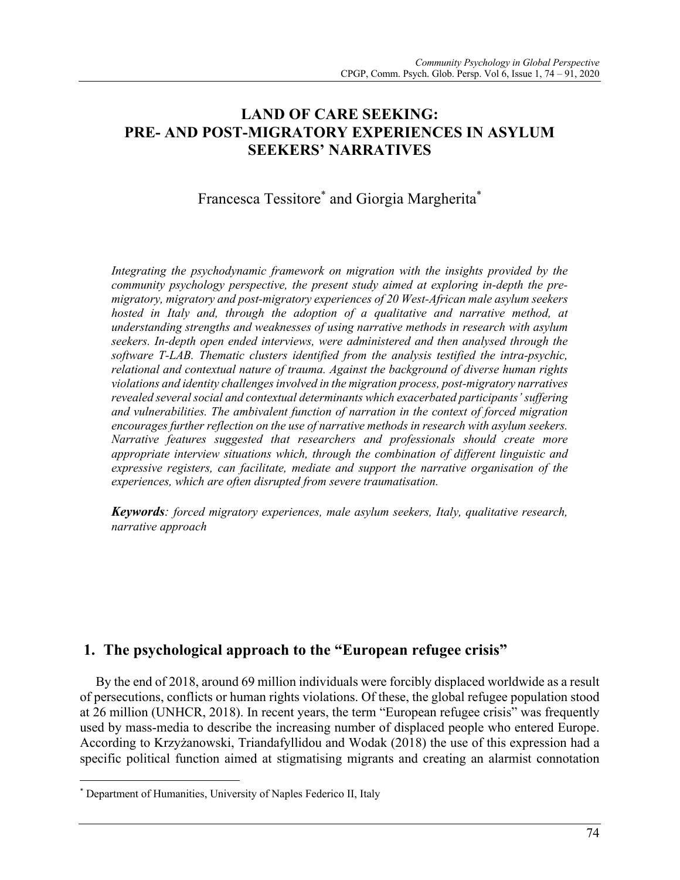# **LAND OF CARE SEEKING: PRE- AND POST-MIGRATORY EXPERIENCES IN ASYLUM SEEKERS' NARRATIVES**

# Francesca Tessitore\* and Giorgia Margherita\*

*Integrating the psychodynamic framework on migration with the insights provided by the community psychology perspective, the present study aimed at exploring in-depth the premigratory, migratory and post-migratory experiences of 20 West-African male asylum seekers hosted in Italy and, through the adoption of a qualitative and narrative method, at understanding strengths and weaknesses of using narrative methods in research with asylum seekers. In-depth open ended interviews, were administered and then analysed through the software T-LAB. Thematic clusters identified from the analysis testified the intra-psychic, relational and contextual nature of trauma. Against the background of diverse human rights violations and identity challenges involved in the migration process, post-migratory narratives revealed several social and contextual determinants which exacerbated participants' suffering and vulnerabilities. The ambivalent function of narration in the context of forced migration encourages further reflection on the use of narrative methods in research with asylum seekers. Narrative features suggested that researchers and professionals should create more appropriate interview situations which, through the combination of different linguistic and expressive registers, can facilitate, mediate and support the narrative organisation of the experiences, which are often disrupted from severe traumatisation.*

*Keywords: forced migratory experiences, male asylum seekers, Italy, qualitative research, narrative approach*

# **1. The psychological approach to the "European refugee crisis"**

By the end of 2018, around 69 million individuals were forcibly displaced worldwide as a result of persecutions, conflicts or human rights violations. Of these, the global refugee population stood at 26 million (UNHCR, 2018). In recent years, the term "European refugee crisis" was frequently used by mass-media to describe the increasing number of displaced people who entered Europe. According to Krzyżanowski, Triandafyllidou and Wodak (2018) the use of this expression had a specific political function aimed at stigmatising migrants and creating an alarmist connotation

<sup>\*</sup> Department of Humanities, University of Naples Federico II, Italy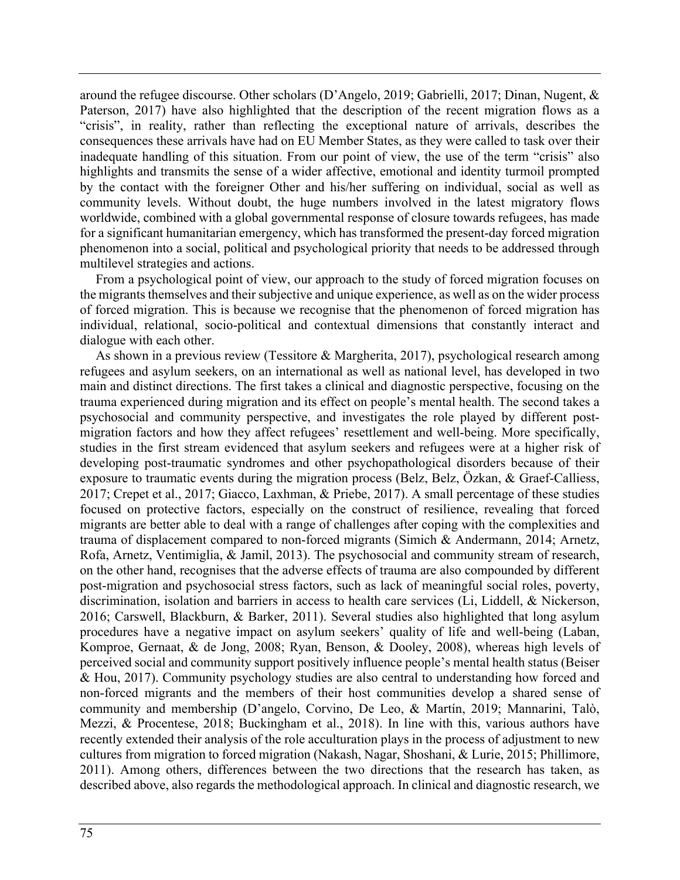around the refugee discourse. Other scholars (D'Angelo, 2019; Gabrielli, 2017; Dinan, Nugent, & Paterson, 2017) have also highlighted that the description of the recent migration flows as a "crisis", in reality, rather than reflecting the exceptional nature of arrivals, describes the consequences these arrivals have had on EU Member States, as they were called to task over their inadequate handling of this situation. From our point of view, the use of the term "crisis" also highlights and transmits the sense of a wider affective, emotional and identity turmoil prompted by the contact with the foreigner Other and his/her suffering on individual, social as well as community levels. Without doubt, the huge numbers involved in the latest migratory flows worldwide, combined with a global governmental response of closure towards refugees, has made for a significant humanitarian emergency, which has transformed the present-day forced migration phenomenon into a social, political and psychological priority that needs to be addressed through multilevel strategies and actions.

From a psychological point of view, our approach to the study of forced migration focuses on the migrants themselves and their subjective and unique experience, as well as on the wider process of forced migration. This is because we recognise that the phenomenon of forced migration has individual, relational, socio-political and contextual dimensions that constantly interact and dialogue with each other.

As shown in a previous review (Tessitore & Margherita, 2017), psychological research among refugees and asylum seekers, on an international as well as national level, has developed in two main and distinct directions. The first takes a clinical and diagnostic perspective, focusing on the trauma experienced during migration and its effect on people's mental health. The second takes a psychosocial and community perspective, and investigates the role played by different postmigration factors and how they affect refugees' resettlement and well-being. More specifically, studies in the first stream evidenced that asylum seekers and refugees were at a higher risk of developing post-traumatic syndromes and other psychopathological disorders because of their exposure to traumatic events during the migration process (Belz, Belz, Özkan, & Graef-Calliess, 2017; Crepet et al., 2017; Giacco, Laxhman, & Priebe, 2017). A small percentage of these studies focused on protective factors, especially on the construct of resilience, revealing that forced migrants are better able to deal with a range of challenges after coping with the complexities and trauma of displacement compared to non-forced migrants (Simich & Andermann, 2014; Arnetz, Rofa, Arnetz, Ventimiglia, & Jamil, 2013). The psychosocial and community stream of research, on the other hand, recognises that the adverse effects of trauma are also compounded by different post-migration and psychosocial stress factors, such as lack of meaningful social roles, poverty, discrimination, isolation and barriers in access to health care services (Li, Liddell, & Nickerson, 2016; Carswell, Blackburn, & Barker, 2011). Several studies also highlighted that long asylum procedures have a negative impact on asylum seekers' quality of life and well-being (Laban, Komproe, Gernaat, & de Jong, 2008; Ryan, Benson, & Dooley, 2008), whereas high levels of perceived social and community support positively influence people's mental health status (Beiser & Hou, 2017). Community psychology studies are also central to understanding how forced and non-forced migrants and the members of their host communities develop a shared sense of community and membership (D'angelo, Corvino, De Leo, & Martín, 2019; Mannarini, Talò, Mezzi, & Procentese, 2018; Buckingham et al., 2018). In line with this, various authors have recently extended their analysis of the role acculturation plays in the process of adjustment to new cultures from migration to forced migration (Nakash, Nagar, Shoshani, & Lurie, 2015; Phillimore, 2011). Among others, differences between the two directions that the research has taken, as described above, also regards the methodological approach. In clinical and diagnostic research, we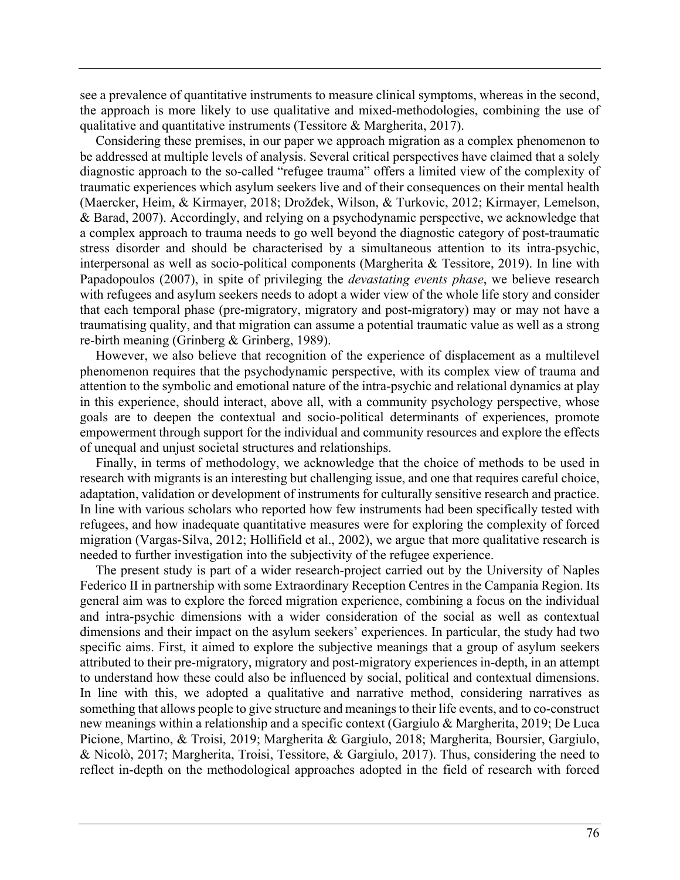see a prevalence of quantitative instruments to measure clinical symptoms, whereas in the second, the approach is more likely to use qualitative and mixed-methodologies, combining the use of qualitative and quantitative instruments (Tessitore & Margherita, 2017).

Considering these premises, in our paper we approach migration as a complex phenomenon to be addressed at multiple levels of analysis. Several critical perspectives have claimed that a solely diagnostic approach to the so-called "refugee trauma" offers a limited view of the complexity of traumatic experiences which asylum seekers live and of their consequences on their mental health (Maercker, Heim, & Kirmayer, 2018; Drožđek, Wilson, & Turkovic, 2012; Kirmayer, Lemelson, & Barad, 2007). Accordingly, and relying on a psychodynamic perspective, we acknowledge that a complex approach to trauma needs to go well beyond the diagnostic category of post-traumatic stress disorder and should be characterised by a simultaneous attention to its intra-psychic, interpersonal as well as socio-political components (Margherita & Tessitore, 2019). In line with Papadopoulos (2007), in spite of privileging the *devastating events phase*, we believe research with refugees and asylum seekers needs to adopt a wider view of the whole life story and consider that each temporal phase (pre-migratory, migratory and post-migratory) may or may not have a traumatising quality, and that migration can assume a potential traumatic value as well as a strong re-birth meaning (Grinberg & Grinberg, 1989).

However, we also believe that recognition of the experience of displacement as a multilevel phenomenon requires that the psychodynamic perspective, with its complex view of trauma and attention to the symbolic and emotional nature of the intra-psychic and relational dynamics at play in this experience, should interact, above all, with a community psychology perspective, whose goals are to deepen the contextual and socio-political determinants of experiences, promote empowerment through support for the individual and community resources and explore the effects of unequal and unjust societal structures and relationships.

Finally, in terms of methodology, we acknowledge that the choice of methods to be used in research with migrants is an interesting but challenging issue, and one that requires careful choice, adaptation, validation or development of instruments for culturally sensitive research and practice. In line with various scholars who reported how few instruments had been specifically tested with refugees, and how inadequate quantitative measures were for exploring the complexity of forced migration (Vargas-Silva, 2012; Hollifield et al., 2002), we argue that more qualitative research is needed to further investigation into the subjectivity of the refugee experience.

The present study is part of a wider research-project carried out by the University of Naples Federico II in partnership with some Extraordinary Reception Centres in the Campania Region. Its general aim was to explore the forced migration experience, combining a focus on the individual and intra-psychic dimensions with a wider consideration of the social as well as contextual dimensions and their impact on the asylum seekers' experiences. In particular, the study had two specific aims. First, it aimed to explore the subjective meanings that a group of asylum seekers attributed to their pre-migratory, migratory and post-migratory experiences in-depth, in an attempt to understand how these could also be influenced by social, political and contextual dimensions. In line with this, we adopted a qualitative and narrative method, considering narratives as something that allows people to give structure and meanings to their life events, and to co-construct new meanings within a relationship and a specific context (Gargiulo & Margherita, 2019; De Luca Picione, Martino, & Troisi, 2019; Margherita & Gargiulo, 2018; Margherita, Boursier, Gargiulo, & Nicolò, 2017; Margherita, Troisi, Tessitore, & Gargiulo, 2017). Thus, considering the need to reflect in-depth on the methodological approaches adopted in the field of research with forced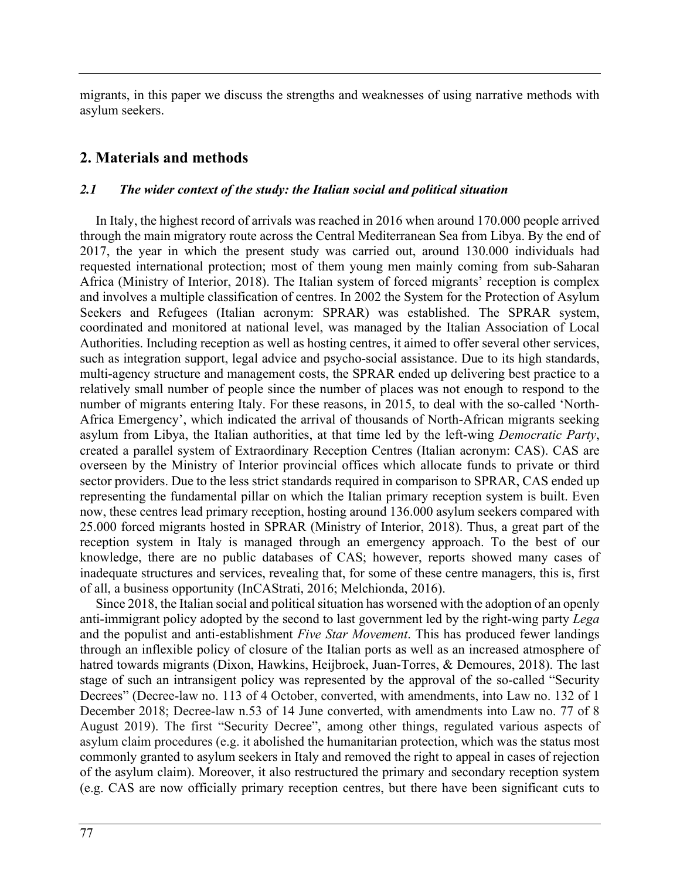migrants, in this paper we discuss the strengths and weaknesses of using narrative methods with asylum seekers.

### **2. Materials and methods**

#### *2.1 The wider context of the study: the Italian social and political situation*

In Italy, the highest record of arrivals was reached in 2016 when around 170.000 people arrived through the main migratory route across the Central Mediterranean Sea from Libya. By the end of 2017, the year in which the present study was carried out, around 130.000 individuals had requested international protection; most of them young men mainly coming from sub-Saharan Africa (Ministry of Interior, 2018). The Italian system of forced migrants' reception is complex and involves a multiple classification of centres. In 2002 the System for the Protection of Asylum Seekers and Refugees (Italian acronym: SPRAR) was established. The SPRAR system, coordinated and monitored at national level, was managed by the Italian Association of Local Authorities. Including reception as well as hosting centres, it aimed to offer several other services, such as integration support, legal advice and psycho-social assistance. Due to its high standards, multi-agency structure and management costs, the SPRAR ended up delivering best practice to a relatively small number of people since the number of places was not enough to respond to the number of migrants entering Italy. For these reasons, in 2015, to deal with the so-called 'North-Africa Emergency', which indicated the arrival of thousands of North-African migrants seeking asylum from Libya, the Italian authorities, at that time led by the left-wing *Democratic Party*, created a parallel system of Extraordinary Reception Centres (Italian acronym: CAS). CAS are overseen by the Ministry of Interior provincial offices which allocate funds to private or third sector providers. Due to the less strict standards required in comparison to SPRAR, CAS ended up representing the fundamental pillar on which the Italian primary reception system is built. Even now, these centres lead primary reception, hosting around 136.000 asylum seekers compared with 25.000 forced migrants hosted in SPRAR (Ministry of Interior, 2018). Thus, a great part of the reception system in Italy is managed through an emergency approach. To the best of our knowledge, there are no public databases of CAS; however, reports showed many cases of inadequate structures and services, revealing that, for some of these centre managers, this is, first of all, a business opportunity (InCAStrati, 2016; Melchionda, 2016).

Since 2018, the Italian social and political situation has worsened with the adoption of an openly anti-immigrant policy adopted by the second to last government led by the right-wing party *Lega* and the populist and anti-establishment *Five Star Movement*. This has produced fewer landings through an inflexible policy of closure of the Italian ports as well as an increased atmosphere of hatred towards migrants (Dixon, Hawkins, Heijbroek, Juan-Torres, & Demoures, 2018). The last stage of such an intransigent policy was represented by the approval of the so-called "Security Decrees" (Decree-law no. 113 of 4 October, converted, with amendments, into Law no. 132 of 1 December 2018; Decree-law n.53 of 14 June converted, with amendments into Law no. 77 of 8 August 2019). The first "Security Decree", among other things, regulated various aspects of asylum claim procedures (e.g. it abolished the humanitarian protection, which was the status most commonly granted to asylum seekers in Italy and removed the right to appeal in cases of rejection of the asylum claim). Moreover, it also restructured the primary and secondary reception system (e.g. CAS are now officially primary reception centres, but there have been significant cuts to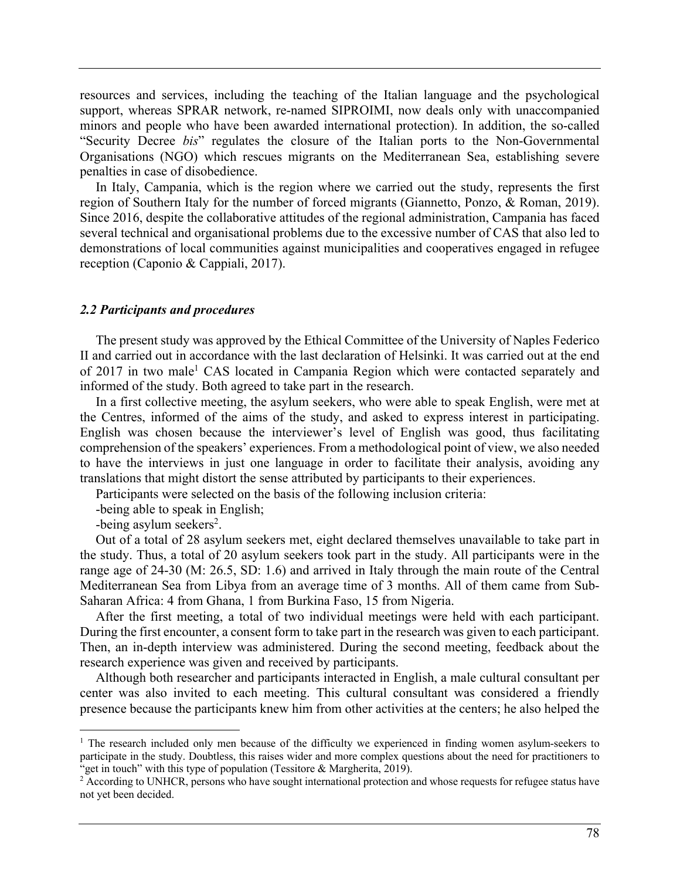resources and services, including the teaching of the Italian language and the psychological support, whereas SPRAR network, re-named SIPROIMI, now deals only with unaccompanied minors and people who have been awarded international protection). In addition, the so-called "Security Decree *bis*" regulates the closure of the Italian ports to the Non-Governmental Organisations (NGO) which rescues migrants on the Mediterranean Sea, establishing severe penalties in case of disobedience.

In Italy, Campania, which is the region where we carried out the study, represents the first region of Southern Italy for the number of forced migrants (Giannetto, Ponzo, & Roman, 2019). Since 2016, despite the collaborative attitudes of the regional administration, Campania has faced several technical and organisational problems due to the excessive number of CAS that also led to demonstrations of local communities against municipalities and cooperatives engaged in refugee reception (Caponio & Cappiali, 2017).

#### *2.2 Participants and procedures*

The present study was approved by the Ethical Committee of the University of Naples Federico II and carried out in accordance with the last declaration of Helsinki. It was carried out at the end of 2017 in two male<sup>1</sup> CAS located in Campania Region which were contacted separately and informed of the study. Both agreed to take part in the research.

In a first collective meeting, the asylum seekers, who were able to speak English, were met at the Centres, informed of the aims of the study, and asked to express interest in participating. English was chosen because the interviewer's level of English was good, thus facilitating comprehension of the speakers' experiences. From a methodological point of view, we also needed to have the interviews in just one language in order to facilitate their analysis, avoiding any translations that might distort the sense attributed by participants to their experiences.

Participants were selected on the basis of the following inclusion criteria:

-being able to speak in English;

-being asylum seekers<sup>2</sup>.

Out of a total of 28 asylum seekers met, eight declared themselves unavailable to take part in the study. Thus, a total of 20 asylum seekers took part in the study. All participants were in the range age of 24-30 (M: 26.5, SD: 1.6) and arrived in Italy through the main route of the Central Mediterranean Sea from Libya from an average time of 3 months. All of them came from Sub-Saharan Africa: 4 from Ghana, 1 from Burkina Faso, 15 from Nigeria.

After the first meeting, a total of two individual meetings were held with each participant. During the first encounter, a consent form to take part in the research was given to each participant. Then, an in-depth interview was administered. During the second meeting, feedback about the research experience was given and received by participants.

Although both researcher and participants interacted in English, a male cultural consultant per center was also invited to each meeting. This cultural consultant was considered a friendly presence because the participants knew him from other activities at the centers; he also helped the

<sup>&</sup>lt;sup>1</sup> The research included only men because of the difficulty we experienced in finding women asylum-seekers to participate in the study. Doubtless, this raises wider and more complex questions about the need for practitioners to "get in touch" with this type of population (Tessitore & Margherita, 2019).

<sup>&</sup>lt;sup>2</sup> According to UNHCR, persons who have sought international protection and whose requests for refugee status have not yet been decided.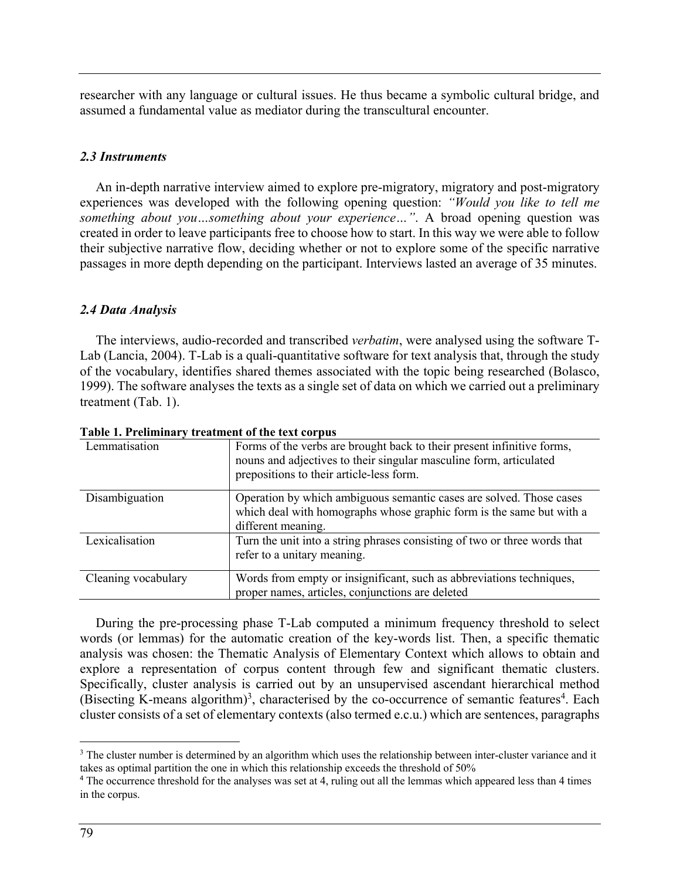researcher with any language or cultural issues. He thus became a symbolic cultural bridge, and assumed a fundamental value as mediator during the transcultural encounter.

#### *2.3 Instruments*

An in-depth narrative interview aimed to explore pre-migratory, migratory and post-migratory experiences was developed with the following opening question: *"Would you like to tell me something about you…something about your experience…"*. A broad opening question was created in order to leave participants free to choose how to start. In this way we were able to follow their subjective narrative flow, deciding whether or not to explore some of the specific narrative passages in more depth depending on the participant. Interviews lasted an average of 35 minutes.

#### *2.4 Data Analysis*

The interviews, audio-recorded and transcribed *verbatim*, were analysed using the software T-Lab (Lancia, 2004). T-Lab is a quali-quantitative software for text analysis that, through the study of the vocabulary, identifies shared themes associated with the topic being researched (Bolasco, 1999). The software analyses the texts as a single set of data on which we carried out a preliminary treatment (Tab. 1).

| Taon I, Fremman v treatment of the text corpus |                                                                                                                                                                                          |
|------------------------------------------------|------------------------------------------------------------------------------------------------------------------------------------------------------------------------------------------|
| Lemmatisation                                  | Forms of the verbs are brought back to their present infinitive forms,<br>nouns and adjectives to their singular masculine form, articulated<br>prepositions to their article-less form. |
| Disambiguation                                 | Operation by which ambiguous semantic cases are solved. Those cases<br>which deal with homographs whose graphic form is the same but with a<br>different meaning.                        |
| Lexicalisation                                 | Turn the unit into a string phrases consisting of two or three words that<br>refer to a unitary meaning.                                                                                 |
| Cleaning vocabulary                            | Words from empty or insignificant, such as abbreviations techniques,<br>proper names, articles, conjunctions are deleted                                                                 |

**Table 1. Preliminary treatment of the text corpus**

During the pre-processing phase T-Lab computed a minimum frequency threshold to select words (or lemmas) for the automatic creation of the key-words list. Then, a specific thematic analysis was chosen: the Thematic Analysis of Elementary Context which allows to obtain and explore a representation of corpus content through few and significant thematic clusters. Specifically, cluster analysis is carried out by an unsupervised ascendant hierarchical method (Bisecting K-means algorithm)<sup>3</sup>, characterised by the co-occurrence of semantic features<sup>4</sup>. Each cluster consists of a set of elementary contexts (also termed e.c.u.) which are sentences, paragraphs

<sup>&</sup>lt;sup>3</sup> The cluster number is determined by an algorithm which uses the relationship between inter-cluster variance and it takes as optimal partition the one in which this relationship exceeds the threshold of 50%

<sup>4</sup> The occurrence threshold for the analyses was set at 4, ruling out all the lemmas which appeared less than 4 times in the corpus.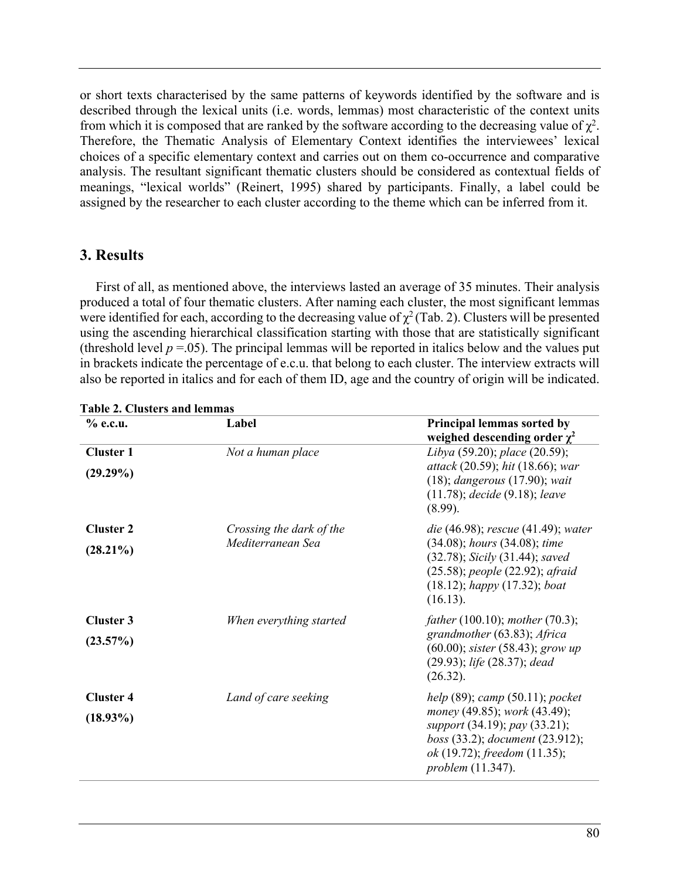or short texts characterised by the same patterns of keywords identified by the software and is described through the lexical units (i.e. words, lemmas) most characteristic of the context units from which it is composed that are ranked by the software according to the decreasing value of  $\chi^2$ . Therefore, the Thematic Analysis of Elementary Context identifies the interviewees' lexical choices of a specific elementary context and carries out on them co-occurrence and comparative analysis. The resultant significant thematic clusters should be considered as contextual fields of meanings, "lexical worlds" (Reinert, 1995) shared by participants. Finally, a label could be assigned by the researcher to each cluster according to the theme which can be inferred from it.

# **3. Results**

First of all, as mentioned above, the interviews lasted an average of 35 minutes. Their analysis produced a total of four thematic clusters. After naming each cluster, the most significant lemmas were identified for each, according to the decreasing value of  $\chi^2$  (Tab. 2). Clusters will be presented using the ascending hierarchical classification starting with those that are statistically significant (threshold level  $p = 0.05$ ). The principal lemmas will be reported in italics below and the values put in brackets indicate the percentage of e.c.u. that belong to each cluster. The interview extracts will also be reported in italics and for each of them ID, age and the country of origin will be indicated.

| $%$ e.c.u.                      | Label                                         | Principal lemmas sorted by<br>weighed descending order $\chi^2$                                                                                                                                                      |
|---------------------------------|-----------------------------------------------|----------------------------------------------------------------------------------------------------------------------------------------------------------------------------------------------------------------------|
| <b>Cluster 1</b><br>$(29.29\%)$ | Not a human place                             | Libya (59.20); place (20.59);<br>attack (20.59); hit (18.66); war<br>$(18)$ ; dangerous $(17.90)$ ; wait<br>$(11.78)$ ; decide $(9.18)$ ; leave<br>(8.99).                                                           |
| <b>Cluster 2</b><br>$(28.21\%)$ | Crossing the dark of the<br>Mediterranean Sea | <i>die</i> (46.98); <i>rescue</i> (41.49); <i>water</i><br>$(34.08)$ ; hours $(34.08)$ ; time<br>(32.78); Sicily (31.44); saved<br>(25.58); people (22.92); afraid<br>$(18.12)$ ; happy $(17.32)$ ; boat<br>(16.13). |
| <b>Cluster 3</b><br>$(23.57\%)$ | When everything started                       | <i>father</i> (100.10); <i>mother</i> (70.3);<br>grandmother (63.83); Africa<br>$(60.00)$ ; sister $(58.43)$ ; grow up<br>(29.93); life (28.37); dead<br>(26.32).                                                    |
| <b>Cluster 4</b><br>$(18.93\%)$ | Land of care seeking                          | help $(89)$ ; camp $(50.11)$ ; pocket<br>money (49.85); work (43.49);<br>support (34.19); pay (33.21);<br>boss (33.2); document (23.912);<br>ok (19.72); freedom (11.35);<br><i>problem</i> (11.347).                |

**Table 2. Clusters and lemmas**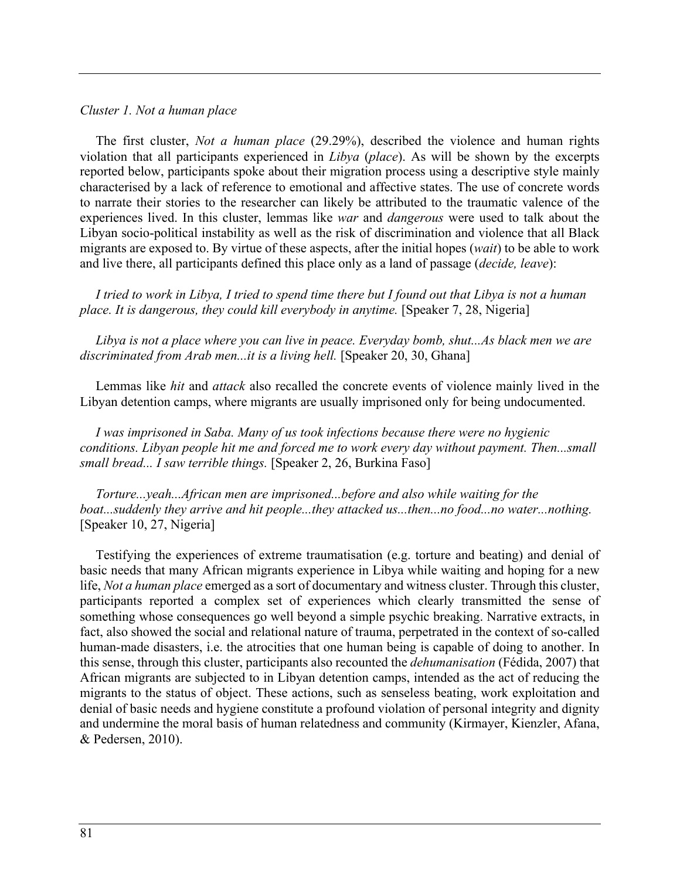#### *Cluster 1. Not a human place*

The first cluster, *Not a human place* (29.29%), described the violence and human rights violation that all participants experienced in *Libya* (*place*). As will be shown by the excerpts reported below, participants spoke about their migration process using a descriptive style mainly characterised by a lack of reference to emotional and affective states. The use of concrete words to narrate their stories to the researcher can likely be attributed to the traumatic valence of the experiences lived. In this cluster, lemmas like *war* and *dangerous* were used to talk about the Libyan socio-political instability as well as the risk of discrimination and violence that all Black migrants are exposed to. By virtue of these aspects, after the initial hopes (*wait*) to be able to work and live there, all participants defined this place only as a land of passage (*decide, leave*):

*I tried to work in Libya, I tried to spend time there but I found out that Libya is not a human place. It is dangerous, they could kill everybody in anytime.* [Speaker 7, 28, Nigeria]

*Libya is not a place where you can live in peace. Everyday bomb, shut...As black men we are discriminated from Arab men...it is a living hell.* [Speaker 20, 30, Ghana]

Lemmas like *hit* and *attack* also recalled the concrete events of violence mainly lived in the Libyan detention camps, where migrants are usually imprisoned only for being undocumented.

*I was imprisoned in Saba. Many of us took infections because there were no hygienic conditions. Libyan people hit me and forced me to work every day without payment. Then...small small bread... I saw terrible things.* [Speaker 2, 26, Burkina Faso]

*Torture...yeah...African men are imprisoned...before and also while waiting for the boat...suddenly they arrive and hit people...they attacked us...then...no food...no water...nothing.* [Speaker 10, 27, Nigeria]

Testifying the experiences of extreme traumatisation (e.g. torture and beating) and denial of basic needs that many African migrants experience in Libya while waiting and hoping for a new life, *Not a human place* emerged as a sort of documentary and witness cluster. Through this cluster, participants reported a complex set of experiences which clearly transmitted the sense of something whose consequences go well beyond a simple psychic breaking. Narrative extracts, in fact, also showed the social and relational nature of trauma, perpetrated in the context of so-called human-made disasters, i.e. the atrocities that one human being is capable of doing to another. In this sense, through this cluster, participants also recounted the *dehumanisation* (Fédida, 2007) that African migrants are subjected to in Libyan detention camps, intended as the act of reducing the migrants to the status of object. These actions, such as senseless beating, work exploitation and denial of basic needs and hygiene constitute a profound violation of personal integrity and dignity and undermine the moral basis of human relatedness and community (Kirmayer, Kienzler, Afana, & Pedersen, 2010).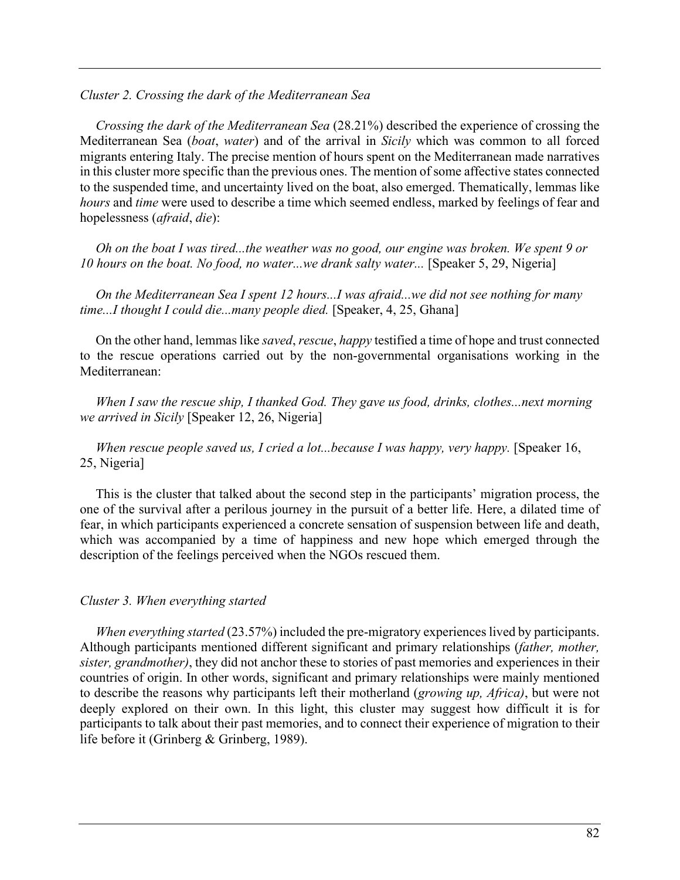#### *Cluster 2. Crossing the dark of the Mediterranean Sea*

*Crossing the dark of the Mediterranean Sea* (28.21%) described the experience of crossing the Mediterranean Sea (*boat*, *water*) and of the arrival in *Sicily* which was common to all forced migrants entering Italy. The precise mention of hours spent on the Mediterranean made narratives in this cluster more specific than the previous ones. The mention of some affective states connected to the suspended time, and uncertainty lived on the boat, also emerged. Thematically, lemmas like *hours* and *time* were used to describe a time which seemed endless, marked by feelings of fear and hopelessness (*afraid*, *die*):

*Oh on the boat I was tired...the weather was no good, our engine was broken. We spent 9 or 10 hours on the boat. No food, no water...we drank salty water...* [Speaker 5, 29, Nigeria]

*On the Mediterranean Sea I spent 12 hours...I was afraid...we did not see nothing for many time...I thought I could die...many people died.* [Speaker, 4, 25, Ghana]

On the other hand, lemmas like *saved*, *rescue*, *happy* testified a time of hope and trust connected to the rescue operations carried out by the non-governmental organisations working in the Mediterranean:

*When I saw the rescue ship, I thanked God. They gave us food, drinks, clothes...next morning we arrived in Sicily* [Speaker 12, 26, Nigeria]

*When rescue people saved us, I cried a lot...because I was happy, very happy.* [Speaker 16, 25, Nigeria]

This is the cluster that talked about the second step in the participants' migration process, the one of the survival after a perilous journey in the pursuit of a better life. Here, a dilated time of fear, in which participants experienced a concrete sensation of suspension between life and death, which was accompanied by a time of happiness and new hope which emerged through the description of the feelings perceived when the NGOs rescued them.

#### *Cluster 3. When everything started*

*When everything started* (23.57%) included the pre-migratory experiences lived by participants. Although participants mentioned different significant and primary relationships (*father, mother, sister, grandmother)*, they did not anchor these to stories of past memories and experiences in their countries of origin. In other words, significant and primary relationships were mainly mentioned to describe the reasons why participants left their motherland (*growing up, Africa)*, but were not deeply explored on their own. In this light, this cluster may suggest how difficult it is for participants to talk about their past memories, and to connect their experience of migration to their life before it (Grinberg & Grinberg, 1989).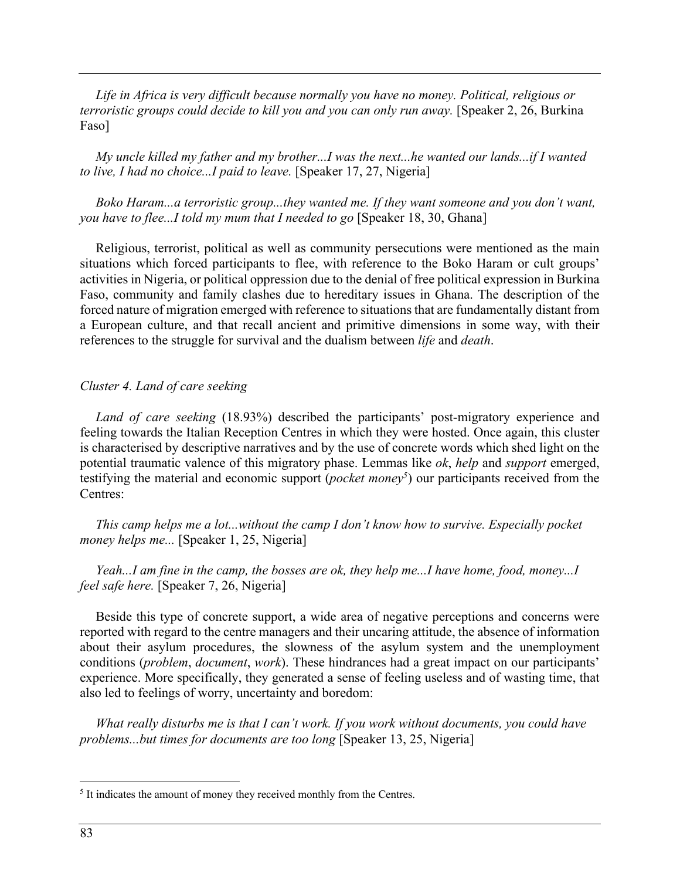*Life in Africa is very difficult because normally you have no money. Political, religious or terroristic groups could decide to kill you and you can only run away.* [Speaker 2, 26, Burkina Faso]

*My uncle killed my father and my brother...I was the next...he wanted our lands...if I wanted to live, I had no choice...I paid to leave.* [Speaker 17, 27, Nigeria]

*Boko Haram...a terroristic group...they wanted me. If they want someone and you don't want, you have to flee...I told my mum that I needed to go* [Speaker 18, 30, Ghana]

Religious, terrorist, political as well as community persecutions were mentioned as the main situations which forced participants to flee, with reference to the Boko Haram or cult groups' activities in Nigeria, or political oppression due to the denial of free political expression in Burkina Faso, community and family clashes due to hereditary issues in Ghana. The description of the forced nature of migration emerged with reference to situations that are fundamentally distant from a European culture, and that recall ancient and primitive dimensions in some way, with their references to the struggle for survival and the dualism between *life* and *death*.

#### *Cluster 4. Land of care seeking*

*Land of care seeking* (18.93%) described the participants' post-migratory experience and feeling towards the Italian Reception Centres in which they were hosted. Once again, this cluster is characterised by descriptive narratives and by the use of concrete words which shed light on the potential traumatic valence of this migratory phase. Lemmas like *ok*, *help* and *support* emerged, testifying the material and economic support (*pocket money5*) our participants received from the Centres:

*This camp helps me a lot...without the camp I don't know how to survive. Especially pocket money helps me...* [Speaker 1, 25, Nigeria]

*Yeah...I am fine in the camp, the bosses are ok, they help me...I have home, food, money...I feel safe here.* [Speaker 7, 26, Nigeria]

Beside this type of concrete support, a wide area of negative perceptions and concerns were reported with regard to the centre managers and their uncaring attitude, the absence of information about their asylum procedures, the slowness of the asylum system and the unemployment conditions (*problem*, *document*, *work*). These hindrances had a great impact on our participants' experience. More specifically, they generated a sense of feeling useless and of wasting time, that also led to feelings of worry, uncertainty and boredom:

*What really disturbs me is that I can't work. If you work without documents, you could have problems...but times for documents are too long* [Speaker 13, 25, Nigeria]

<sup>&</sup>lt;sup>5</sup> It indicates the amount of money they received monthly from the Centres.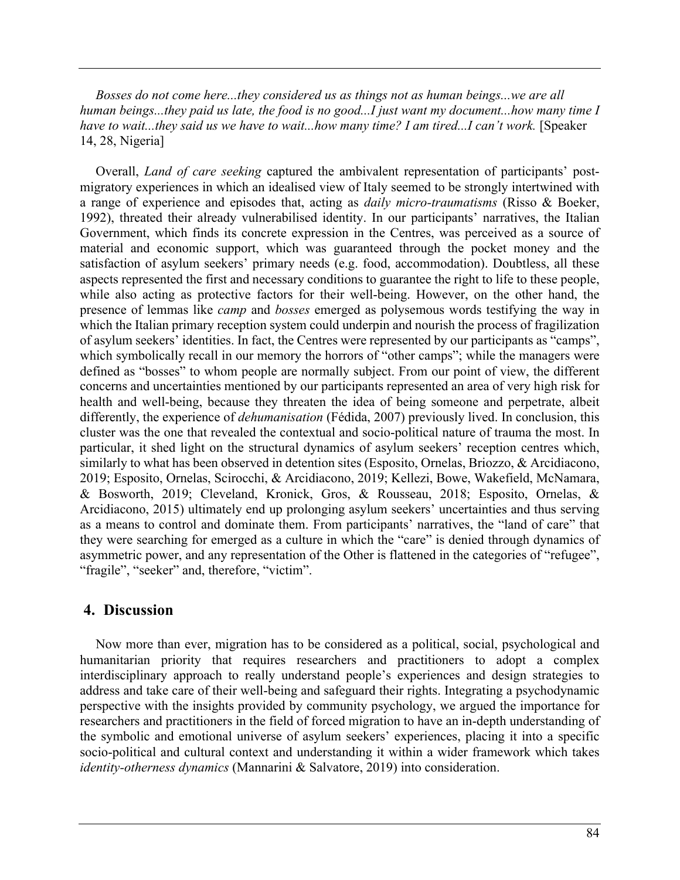*Bosses do not come here...they considered us as things not as human beings...we are all human beings...they paid us late, the food is no good...I just want my document...how many time I have to wait...they said us we have to wait...how many time? I am tired...I can't work.* [Speaker] 14, 28, Nigeria]

Overall, *Land of care seeking* captured the ambivalent representation of participants' postmigratory experiences in which an idealised view of Italy seemed to be strongly intertwined with a range of experience and episodes that, acting as *daily micro-traumatisms* (Risso & Boeker, 1992), threated their already vulnerabilised identity. In our participants' narratives, the Italian Government, which finds its concrete expression in the Centres, was perceived as a source of material and economic support, which was guaranteed through the pocket money and the satisfaction of asylum seekers' primary needs (e.g. food, accommodation). Doubtless, all these aspects represented the first and necessary conditions to guarantee the right to life to these people, while also acting as protective factors for their well-being. However, on the other hand, the presence of lemmas like *camp* and *bosses* emerged as polysemous words testifying the way in which the Italian primary reception system could underpin and nourish the process of fragilization of asylum seekers' identities. In fact, the Centres were represented by our participants as "camps", which symbolically recall in our memory the horrors of "other camps"; while the managers were defined as "bosses" to whom people are normally subject. From our point of view, the different concerns and uncertainties mentioned by our participants represented an area of very high risk for health and well-being, because they threaten the idea of being someone and perpetrate, albeit differently, the experience of *dehumanisation* (Fédida, 2007) previously lived. In conclusion, this cluster was the one that revealed the contextual and socio-political nature of trauma the most. In particular, it shed light on the structural dynamics of asylum seekers' reception centres which, similarly to what has been observed in detention sites (Esposito, Ornelas, Briozzo, & Arcidiacono, 2019; Esposito, Ornelas, Scirocchi, & Arcidiacono, 2019; Kellezi, Bowe, Wakefield, McNamara, & Bosworth, 2019; Cleveland, Kronick, Gros, & Rousseau, 2018; Esposito, Ornelas, & Arcidiacono, 2015) ultimately end up prolonging asylum seekers' uncertainties and thus serving as a means to control and dominate them. From participants' narratives, the "land of care" that they were searching for emerged as a culture in which the "care" is denied through dynamics of asymmetric power, and any representation of the Other is flattened in the categories of "refugee", "fragile", "seeker" and, therefore, "victim".

### **4. Discussion**

Now more than ever, migration has to be considered as a political, social, psychological and humanitarian priority that requires researchers and practitioners to adopt a complex interdisciplinary approach to really understand people's experiences and design strategies to address and take care of their well-being and safeguard their rights. Integrating a psychodynamic perspective with the insights provided by community psychology, we argued the importance for researchers and practitioners in the field of forced migration to have an in-depth understanding of the symbolic and emotional universe of asylum seekers' experiences, placing it into a specific socio-political and cultural context and understanding it within a wider framework which takes *identity-otherness dynamics* (Mannarini & Salvatore, 2019) into consideration.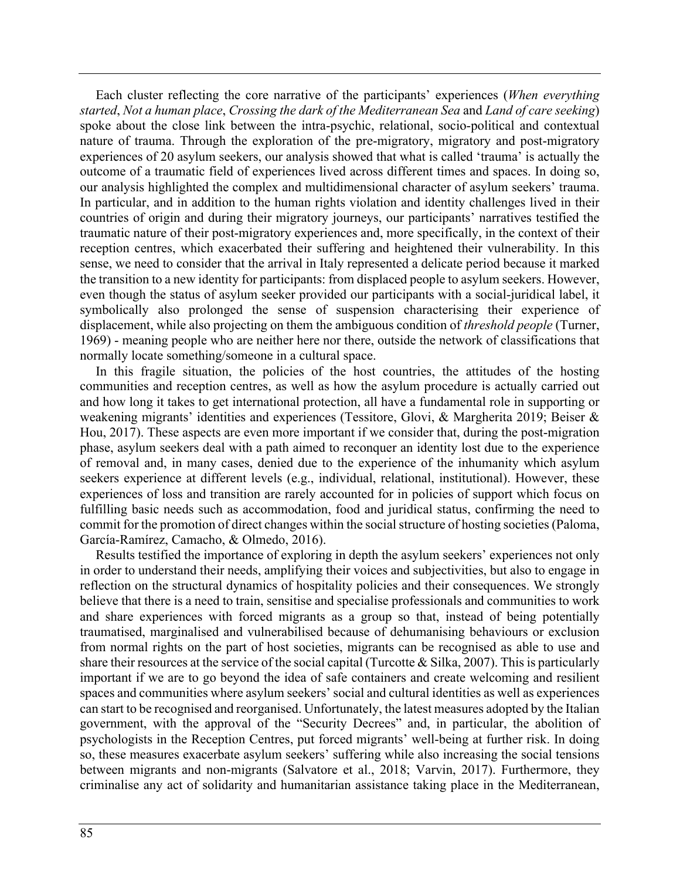Each cluster reflecting the core narrative of the participants' experiences (*When everything started*, *Not a human place*, *Crossing the dark of the Mediterranean Sea* and *Land of care seeking*) spoke about the close link between the intra-psychic, relational, socio-political and contextual nature of trauma. Through the exploration of the pre-migratory, migratory and post-migratory experiences of 20 asylum seekers, our analysis showed that what is called 'trauma' is actually the outcome of a traumatic field of experiences lived across different times and spaces. In doing so, our analysis highlighted the complex and multidimensional character of asylum seekers' trauma. In particular, and in addition to the human rights violation and identity challenges lived in their countries of origin and during their migratory journeys, our participants' narratives testified the traumatic nature of their post-migratory experiences and, more specifically, in the context of their reception centres, which exacerbated their suffering and heightened their vulnerability. In this sense, we need to consider that the arrival in Italy represented a delicate period because it marked the transition to a new identity for participants: from displaced people to asylum seekers. However, even though the status of asylum seeker provided our participants with a social-juridical label, it symbolically also prolonged the sense of suspension characterising their experience of displacement, while also projecting on them the ambiguous condition of *threshold people* (Turner, 1969) - meaning people who are neither here nor there, outside the network of classifications that normally locate something/someone in a cultural space.

In this fragile situation, the policies of the host countries, the attitudes of the hosting communities and reception centres, as well as how the asylum procedure is actually carried out and how long it takes to get international protection, all have a fundamental role in supporting or weakening migrants' identities and experiences (Tessitore, Glovi, & Margherita 2019; Beiser & Hou, 2017). These aspects are even more important if we consider that, during the post-migration phase, asylum seekers deal with a path aimed to reconquer an identity lost due to the experience of removal and, in many cases, denied due to the experience of the inhumanity which asylum seekers experience at different levels (e.g., individual, relational, institutional). However, these experiences of loss and transition are rarely accounted for in policies of support which focus on fulfilling basic needs such as accommodation, food and juridical status, confirming the need to commit for the promotion of direct changes within the social structure of hosting societies (Paloma, García-Ramírez, Camacho, & Olmedo, 2016).

Results testified the importance of exploring in depth the asylum seekers' experiences not only in order to understand their needs, amplifying their voices and subjectivities, but also to engage in reflection on the structural dynamics of hospitality policies and their consequences. We strongly believe that there is a need to train, sensitise and specialise professionals and communities to work and share experiences with forced migrants as a group so that, instead of being potentially traumatised, marginalised and vulnerabilised because of dehumanising behaviours or exclusion from normal rights on the part of host societies, migrants can be recognised as able to use and share their resources at the service of the social capital (Turcotte & Silka, 2007). This is particularly important if we are to go beyond the idea of safe containers and create welcoming and resilient spaces and communities where asylum seekers' social and cultural identities as well as experiences can start to be recognised and reorganised. Unfortunately, the latest measures adopted by the Italian government, with the approval of the "Security Decrees" and, in particular, the abolition of psychologists in the Reception Centres, put forced migrants' well-being at further risk. In doing so, these measures exacerbate asylum seekers' suffering while also increasing the social tensions between migrants and non-migrants (Salvatore et al., 2018; Varvin, 2017). Furthermore, they criminalise any act of solidarity and humanitarian assistance taking place in the Mediterranean,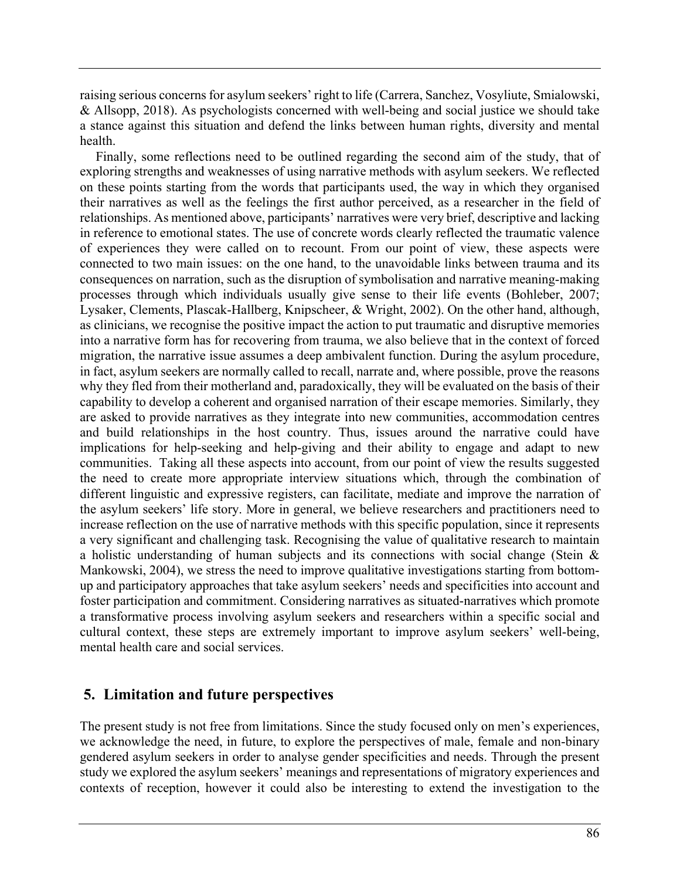raising serious concerns for asylum seekers' right to life (Carrera, Sanchez, Vosyliute, Smialowski, & Allsopp, 2018). As psychologists concerned with well-being and social justice we should take a stance against this situation and defend the links between human rights, diversity and mental health.

Finally, some reflections need to be outlined regarding the second aim of the study, that of exploring strengths and weaknesses of using narrative methods with asylum seekers. We reflected on these points starting from the words that participants used, the way in which they organised their narratives as well as the feelings the first author perceived, as a researcher in the field of relationships. As mentioned above, participants' narratives were very brief, descriptive and lacking in reference to emotional states. The use of concrete words clearly reflected the traumatic valence of experiences they were called on to recount. From our point of view, these aspects were connected to two main issues: on the one hand, to the unavoidable links between trauma and its consequences on narration, such as the disruption of symbolisation and narrative meaning-making processes through which individuals usually give sense to their life events (Bohleber, 2007; Lysaker, Clements, Plascak-Hallberg, Knipscheer, & Wright, 2002). On the other hand, although, as clinicians, we recognise the positive impact the action to put traumatic and disruptive memories into a narrative form has for recovering from trauma, we also believe that in the context of forced migration, the narrative issue assumes a deep ambivalent function. During the asylum procedure, in fact, asylum seekers are normally called to recall, narrate and, where possible, prove the reasons why they fled from their motherland and, paradoxically, they will be evaluated on the basis of their capability to develop a coherent and organised narration of their escape memories. Similarly, they are asked to provide narratives as they integrate into new communities, accommodation centres and build relationships in the host country. Thus, issues around the narrative could have implications for help-seeking and help-giving and their ability to engage and adapt to new communities. Taking all these aspects into account, from our point of view the results suggested the need to create more appropriate interview situations which, through the combination of different linguistic and expressive registers, can facilitate, mediate and improve the narration of the asylum seekers' life story. More in general, we believe researchers and practitioners need to increase reflection on the use of narrative methods with this specific population, since it represents a very significant and challenging task. Recognising the value of qualitative research to maintain a holistic understanding of human subjects and its connections with social change (Stein & Mankowski, 2004), we stress the need to improve qualitative investigations starting from bottomup and participatory approaches that take asylum seekers' needs and specificities into account and foster participation and commitment. Considering narratives as situated-narratives which promote a transformative process involving asylum seekers and researchers within a specific social and cultural context, these steps are extremely important to improve asylum seekers' well-being, mental health care and social services.

# **5. Limitation and future perspectives**

The present study is not free from limitations. Since the study focused only on men's experiences, we acknowledge the need, in future, to explore the perspectives of male, female and non-binary gendered asylum seekers in order to analyse gender specificities and needs. Through the present study we explored the asylum seekers' meanings and representations of migratory experiences and contexts of reception, however it could also be interesting to extend the investigation to the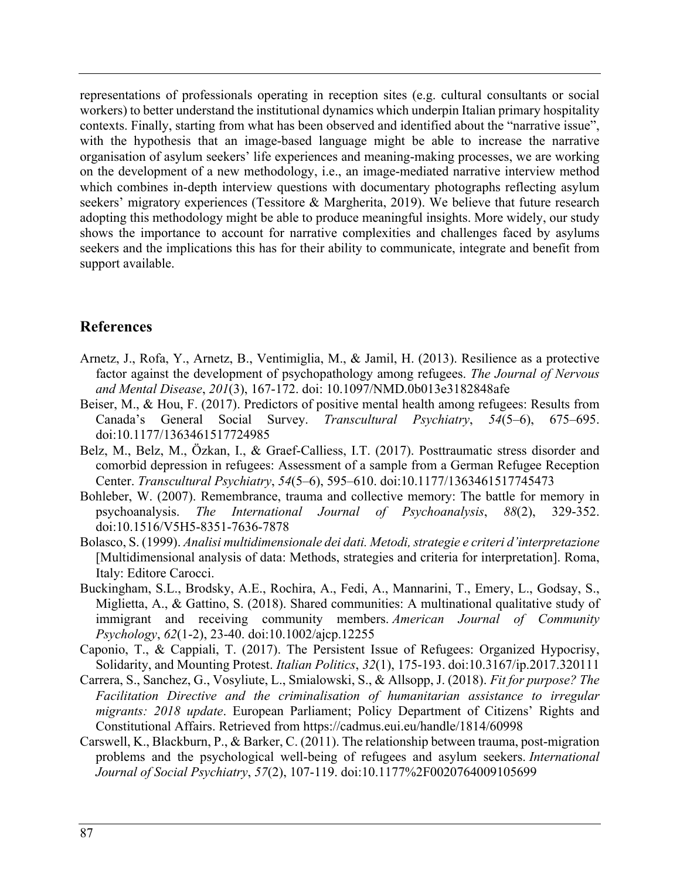representations of professionals operating in reception sites (e.g. cultural consultants or social workers) to better understand the institutional dynamics which underpin Italian primary hospitality contexts. Finally, starting from what has been observed and identified about the "narrative issue", with the hypothesis that an image-based language might be able to increase the narrative organisation of asylum seekers' life experiences and meaning-making processes, we are working on the development of a new methodology, i.e., an image-mediated narrative interview method which combines in-depth interview questions with documentary photographs reflecting asylum seekers' migratory experiences (Tessitore & Margherita, 2019). We believe that future research adopting this methodology might be able to produce meaningful insights. More widely, our study shows the importance to account for narrative complexities and challenges faced by asylums seekers and the implications this has for their ability to communicate, integrate and benefit from support available.

# **References**

- Arnetz, J., Rofa, Y., Arnetz, B., Ventimiglia, M., & Jamil, H. (2013). Resilience as a protective factor against the development of psychopathology among refugees. *The Journal of Nervous and Mental Disease*, *201*(3), 167-172. doi: 10.1097/NMD.0b013e3182848afe
- Beiser, M., & Hou, F. (2017). Predictors of positive mental health among refugees: Results from Canada's General Social Survey. *Transcultural Psychiatry*, *54*(5–6), 675–695. doi:10.1177/1363461517724985
- Belz, M., Belz, M., Özkan, I., & Graef-Calliess, I.T. (2017). Posttraumatic stress disorder and comorbid depression in refugees: Assessment of a sample from a German Refugee Reception Center. *Transcultural Psychiatry*, *54*(5–6), 595–610. doi:10.1177/1363461517745473
- Bohleber, W. (2007). Remembrance, trauma and collective memory: The battle for memory in psychoanalysis. *The International Journal of Psychoanalysis*, *88*(2), 329-352. doi:10.1516/V5H5-8351-7636-7878
- Bolasco, S. (1999). *Analisi multidimensionale dei dati. Metodi, strategie e criteri d'interpretazione*  [Multidimensional analysis of data: Methods, strategies and criteria for interpretation]. Roma, Italy: Editore Carocci.
- Buckingham, S.L., Brodsky, A.E., Rochira, A., Fedi, A., Mannarini, T., Emery, L., Godsay, S., Miglietta, A., & Gattino, S. (2018). Shared communities: A multinational qualitative study of immigrant and receiving community members. *American Journal of Community Psychology*, *62*(1-2), 23-40. doi:10.1002/ajcp.12255
- Caponio, T., & Cappiali, T. (2017). The Persistent Issue of Refugees: Organized Hypocrisy, Solidarity, and Mounting Protest. *Italian Politics*, *32*(1), 175-193. doi:10.3167/ip.2017.320111
- Carrera, S., Sanchez, G., Vosyliute, L., Smialowski, S., & Allsopp, J. (2018). *Fit for purpose? The Facilitation Directive and the criminalisation of humanitarian assistance to irregular migrants: 2018 update*. European Parliament; Policy Department of Citizens' Rights and Constitutional Affairs. Retrieved from https://cadmus.eui.eu/handle/1814/60998
- Carswell, K., Blackburn, P., & Barker, C. (2011). The relationship between trauma, post-migration problems and the psychological well-being of refugees and asylum seekers. *International Journal of Social Psychiatry*, *57*(2), 107-119. doi:10.1177%2F0020764009105699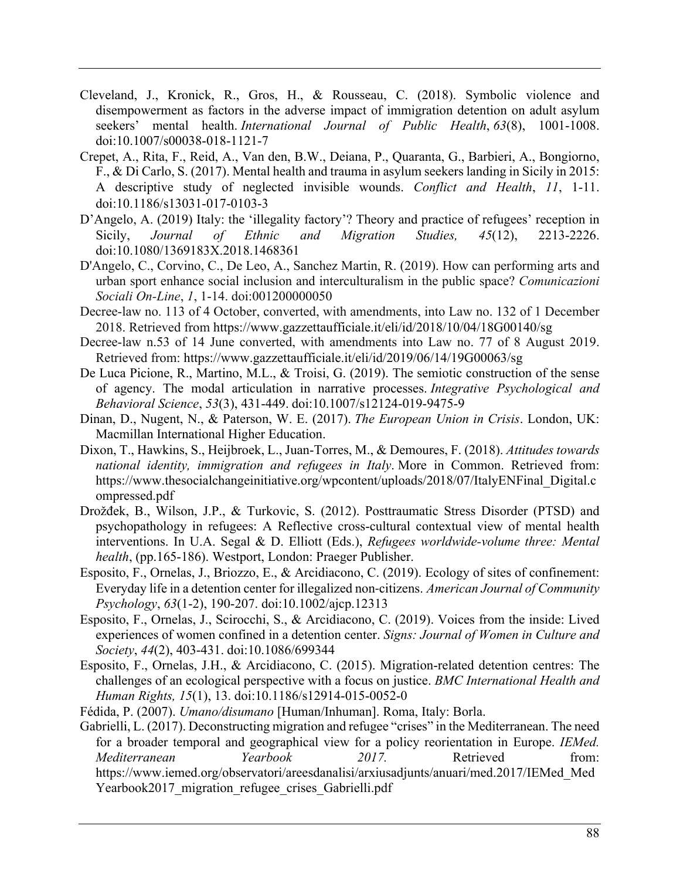- Cleveland, J., Kronick, R., Gros, H., & Rousseau, C. (2018). Symbolic violence and disempowerment as factors in the adverse impact of immigration detention on adult asylum seekers' mental health. *International Journal of Public Health*, *63*(8), 1001-1008. doi:10.1007/s00038-018-1121-7
- Crepet, A., Rita, F., Reid, A., Van den, B.W., Deiana, P., Quaranta, G., Barbieri, A., Bongiorno, F., & Di Carlo, S. (2017). Mental health and trauma in asylum seekers landing in Sicily in 2015: A descriptive study of neglected invisible wounds. *Conflict and Health*, *11*, 1-11. doi:10.1186/s13031-017-0103-3
- D'Angelo, A. (2019) Italy: the 'illegality factory'? Theory and practice of refugees' reception in Sicily, *Journal of Ethnic and Migration Studies, 45*(12), 2213-2226. doi:10.1080/1369183X.2018.1468361
- D'Angelo, C., Corvino, C., De Leo, A., Sanchez Martin, R. (2019). How can performing arts and urban sport enhance social inclusion and interculturalism in the public space? *Comunicazioni Sociali On-Line*, *1*, 1-14. doi:001200000050
- Decree-law no. 113 of 4 October, converted, with amendments, into Law no. 132 of 1 December 2018. Retrieved from https://www.gazzettaufficiale.it/eli/id/2018/10/04/18G00140/sg
- Decree-law n.53 of 14 June converted, with amendments into Law no. 77 of 8 August 2019. Retrieved from: https://www.gazzettaufficiale.it/eli/id/2019/06/14/19G00063/sg
- De Luca Picione, R., Martino, M.L., & Troisi, G. (2019). The semiotic construction of the sense of agency. The modal articulation in narrative processes. *Integrative Psychological and Behavioral Science*, *53*(3), 431-449. doi:10.1007/s12124-019-9475-9
- Dinan, D., Nugent, N., & Paterson, W. E. (2017). *The European Union in Crisis*. London, UK: Macmillan International Higher Education.
- Dixon, T., Hawkins, S., Heijbroek, L., Juan-Torres, M., & Demoures, F. (2018). *Attitudes towards national identity, immigration and refugees in Italy*. More in Common. Retrieved from: https://www.thesocialchangeinitiative.org/wpcontent/uploads/2018/07/ItalyENFinal\_Digital.c ompressed.pdf
- Drožđek, B., Wilson, J.P., & Turkovic, S. (2012). Posttraumatic Stress Disorder (PTSD) and psychopathology in refugees: A Reflective cross-cultural contextual view of mental health interventions. In U.A. Segal & D. Elliott (Eds.), *Refugees worldwide-volume three: Mental health*, (pp.165-186). Westport, London: Praeger Publisher.
- Esposito, F., Ornelas, J., Briozzo, E., & Arcidiacono, C. (2019). Ecology of sites of confinement: Everyday life in a detention center for illegalized non-citizens. *American Journal of Community Psychology*, *63*(1-2), 190-207. doi:10.1002/ajcp.12313
- Esposito, F., Ornelas, J., Scirocchi, S., & Arcidiacono, C. (2019). Voices from the inside: Lived experiences of women confined in a detention center. *Signs: Journal of Women in Culture and Society*, *44*(2), 403-431. doi:10.1086/699344
- Esposito, F., Ornelas, J.H., & Arcidiacono, C. (2015). Migration-related detention centres: The challenges of an ecological perspective with a focus on justice. *BMC International Health and Human Rights, 15*(1), 13. doi:10.1186/s12914-015-0052-0
- Fédida, P. (2007). *Umano/disumano* [Human/Inhuman]. Roma, Italy: Borla.
- Gabrielli, L. (2017). Deconstructing migration and refugee "crises" in the Mediterranean. The need for a broader temporal and geographical view for a policy reorientation in Europe. *IEMed. Mediterranean Yearbook 2017.* Retrieved from: https://www.iemed.org/observatori/areesdanalisi/arxiusadjunts/anuari/med.2017/IEMed\_Med Yearbook2017 migration refugee crises Gabrielli.pdf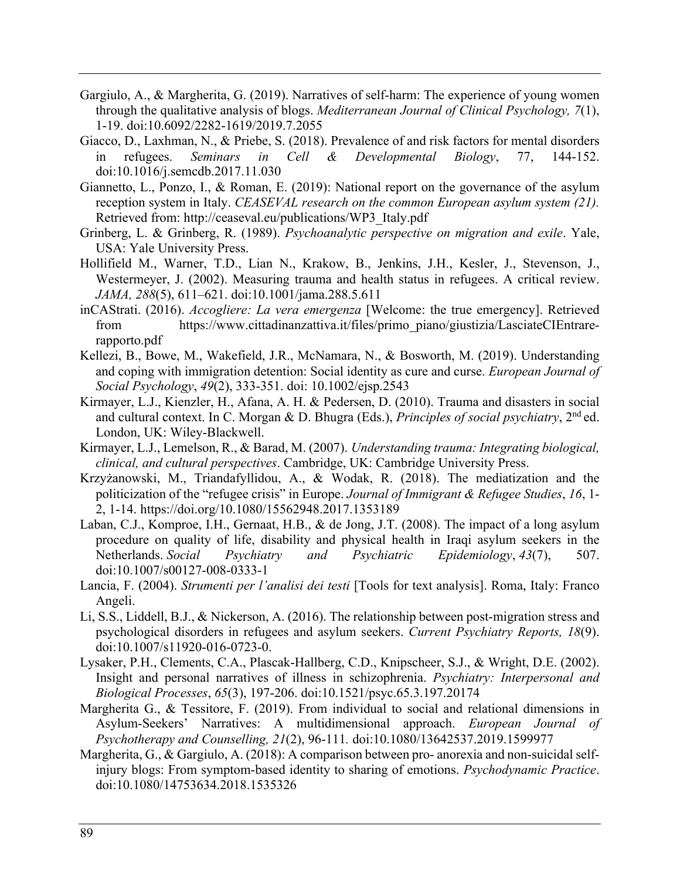- Gargiulo, A., & Margherita, G. (2019). Narratives of self-harm: The experience of young women through the qualitative analysis of blogs. *Mediterranean Journal of Clinical Psychology, 7*(1), 1-19. doi:10.6092/2282-1619/2019.7.2055
- Giacco, D., Laxhman, N., & Priebe, S. (2018). Prevalence of and risk factors for mental disorders in refugees. *Seminars in Cell & Developmental Biology*, 77, 144-152. doi:10.1016/j.semcdb.2017.11.030
- Giannetto, L., Ponzo, I., & Roman, E. (2019): National report on the governance of the asylum reception system in Italy. *CEASEVAL research on the common European asylum system (21).* Retrieved from: http://ceaseval.eu/publications/WP3\_Italy.pdf
- Grinberg, L. & Grinberg, R. (1989). *Psychoanalytic perspective on migration and exile*. Yale, USA: Yale University Press.
- Hollifield M., Warner, T.D., Lian N., Krakow, B., Jenkins, J.H., Kesler, J., Stevenson, J., Westermeyer, J. (2002). Measuring trauma and health status in refugees. A critical review. *JAMA, 288*(5), 611–621. doi:10.1001/jama.288.5.611
- inCAStrati. (2016). *Accogliere: La vera emergenza* [Welcome: the true emergency]. Retrieved from https://www.cittadinanzattiva.it/files/primo\_piano/giustizia/LasciateCIEntrarerapporto.pdf
- Kellezi, B., Bowe, M., Wakefield, J.R., McNamara, N., & Bosworth, M. (2019). Understanding and coping with immigration detention: Social identity as cure and curse. *European Journal of Social Psychology*, *49*(2), 333-351. doi: 10.1002/ejsp.2543
- Kirmayer, L.J., Kienzler, H., Afana, A. H. & Pedersen, D. (2010). Trauma and disasters in social and cultural context. In C. Morgan & D. Bhugra (Eds.), *Principles of social psychiatry*, 2nd ed. London, UK: Wiley-Blackwell.
- Kirmayer, L.J., Lemelson, R., & Barad, M. (2007). *Understanding trauma: Integrating biological, clinical, and cultural perspectives*. Cambridge, UK: Cambridge University Press.
- Krzyżanowski, M., Triandafyllidou, A., & Wodak, R. (2018). The mediatization and the politicization of the "refugee crisis" in Europe. *Journal of Immigrant & Refugee Studies*, *16*, 1- 2, 1-14. https://doi.org/10.1080/15562948.2017.1353189
- Laban, C.J., Komproe, I.H., Gernaat, H.B., & de Jong, J.T. (2008). The impact of a long asylum procedure on quality of life, disability and physical health in Iraqi asylum seekers in the Netherlands. *Social Psychiatry and Psychiatric Epidemiology*, *43*(7), 507. doi:10.1007/s00127-008-0333-1
- Lancia, F. (2004). *Strumenti per l'analisi dei testi* [Tools for text analysis]. Roma, Italy: Franco Angeli.
- Li, S.S., Liddell, B.J., & Nickerson, A. (2016). The relationship between post-migration stress and psychological disorders in refugees and asylum seekers. *Current Psychiatry Reports, 18*(9). doi:10.1007/s11920-016-0723-0.
- Lysaker, P.H., Clements, C.A., Plascak-Hallberg, C.D., Knipscheer, S.J., & Wright, D.E. (2002). Insight and personal narratives of illness in schizophrenia. *Psychiatry: Interpersonal and Biological Processes*, *65*(3), 197-206. doi:10.1521/psyc.65.3.197.20174
- Margherita G., & Tessitore, F. (2019). From individual to social and relational dimensions in Asylum-Seekers' Narratives: A multidimensional approach. *European Journal of Psychotherapy and Counselling, 21*(2), 96-111*.* doi:10.1080/13642537.2019.1599977
- Margherita, G., & Gargiulo, A. (2018): A comparison between pro- anorexia and non-suicidal selfinjury blogs: From symptom-based identity to sharing of emotions. *Psychodynamic Practice*. doi:10.1080/14753634.2018.1535326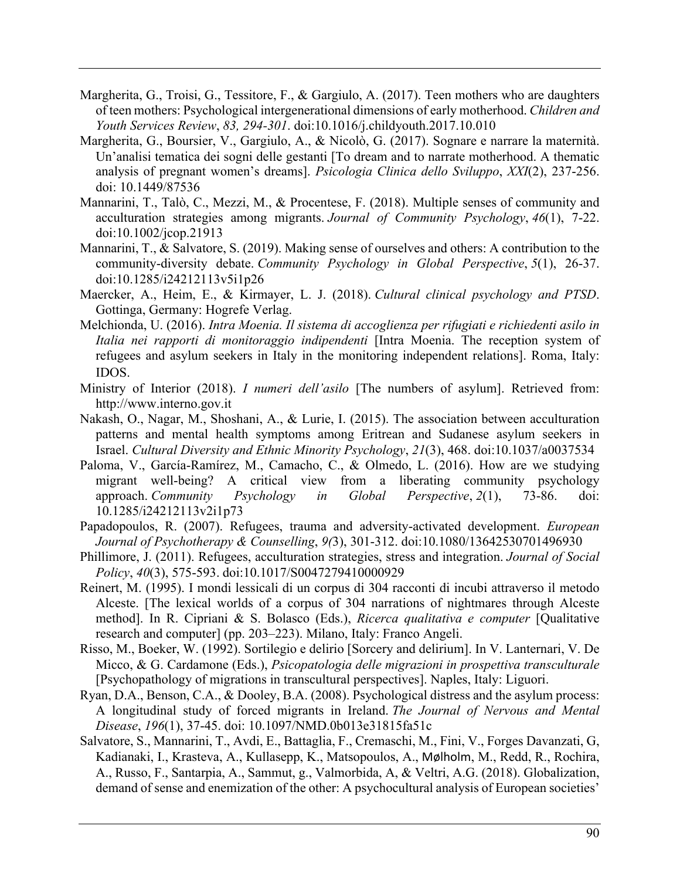- Margherita, G., Troisi, G., Tessitore, F., & Gargiulo, A. (2017). Teen mothers who are daughters of teen mothers: Psychological intergenerational dimensions of early motherhood. *Children and Youth Services Review*, *83, 294-301*. doi:10.1016/j.childyouth.2017.10.010
- Margherita, G., Boursier, V., Gargiulo, A., & Nicolò, G. (2017). Sognare e narrare la maternità. Un'analisi tematica dei sogni delle gestanti [To dream and to narrate motherhood. A thematic analysis of pregnant women's dreams]. *Psicologia Clinica dello Sviluppo*, *XXI*(2), 237-256. doi: 10.1449/87536
- Mannarini, T., Talò, C., Mezzi, M., & Procentese, F. (2018). Multiple senses of community and acculturation strategies among migrants. *Journal of Community Psychology*, *46*(1), 7-22. doi:10.1002/jcop.21913
- Mannarini, T., & Salvatore, S. (2019). Making sense of ourselves and others: A contribution to the community-diversity debate. *Community Psychology in Global Perspective*, *5*(1), 26-37. doi:10.1285/i24212113v5i1p26
- Maercker, A., Heim, E., & Kirmayer, L. J. (2018). *Cultural clinical psychology and PTSD*. Gottinga, Germany: Hogrefe Verlag.
- Melchionda, U. (2016). *Intra Moenia. Il sistema di accoglienza per rifugiati e richiedenti asilo in Italia nei rapporti di monitoraggio indipendenti* [Intra Moenia. The reception system of refugees and asylum seekers in Italy in the monitoring independent relations]. Roma, Italy: IDOS.
- Ministry of Interior (2018). *I numeri dell'asilo* [The numbers of asylum]. Retrieved from: http://www.interno.gov.it
- Nakash, O., Nagar, M., Shoshani, A., & Lurie, I. (2015). The association between acculturation patterns and mental health symptoms among Eritrean and Sudanese asylum seekers in Israel. *Cultural Diversity and Ethnic Minority Psychology*, *21*(3), 468. doi:10.1037/a0037534
- Paloma, V., García-Ramírez, M., Camacho, C., & Olmedo, L. (2016). How are we studying migrant well-being? A critical view from a liberating community psychology approach. *Community Psychology in Global Perspective*, *2*(1), 73-86. doi: 10.1285/i24212113v2i1p73
- Papadopoulos, R. (2007). Refugees, trauma and adversity-activated development. *European Journal of Psychotherapy & Counselling*, *9(*3), 301-312. doi:10.1080/13642530701496930
- Phillimore, J. (2011). Refugees, acculturation strategies, stress and integration. *Journal of Social Policy*, *40*(3), 575-593. doi:10.1017/S0047279410000929
- Reinert, M. (1995). I mondi lessicali di un corpus di 304 racconti di incubi attraverso il metodo Alceste. [The lexical worlds of a corpus of 304 narrations of nightmares through Alceste method]. In R. Cipriani & S. Bolasco (Eds.), *Ricerca qualitativa e computer* [Qualitative research and computer] (pp. 203–223). Milano, Italy: Franco Angeli.
- Risso, M., Boeker, W. (1992). Sortilegio e delirio [Sorcery and delirium]. In V. Lanternari, V. De Micco, & G. Cardamone (Eds.), *Psicopatologia delle migrazioni in prospettiva transculturale* [Psychopathology of migrations in transcultural perspectives]. Naples, Italy: Liguori.
- Ryan, D.A., Benson, C.A., & Dooley, B.A. (2008). Psychological distress and the asylum process: A longitudinal study of forced migrants in Ireland. *The Journal of Nervous and Mental Disease*, *196*(1), 37-45. doi: 10.1097/NMD.0b013e31815fa51c
- Salvatore, S., Mannarini, T., Avdi, E., Battaglia, F., Cremaschi, M., Fini, V., Forges Davanzati, G, Kadianaki, I., Krasteva, A., Kullasepp, K., Matsopoulos, A., Mølholm, M., Redd, R., Rochira, A., Russo, F., Santarpia, A., Sammut, g., Valmorbida, A, & Veltri, A.G. (2018). Globalization, demand of sense and enemization of the other: A psychocultural analysis of European societies'